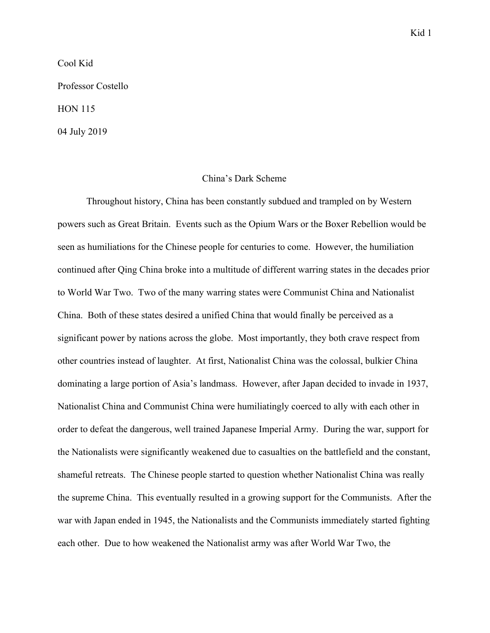Cool Kid

Professor Costello

HON 115

04 July 2019

## China's Dark Scheme

Throughout history, China has been constantly subdued and trampled on by Western powers such as Great Britain. Events such as the Opium Wars or the Boxer Rebellion would be seen as humiliations for the Chinese people for centuries to come. However, the humiliation continued after Qing China broke into a multitude of different warring states in the decades prior to World War Two. Two of the many warring states were Communist China and Nationalist China. Both of these states desired a unified China that would finally be perceived as a significant power by nations across the globe. Most importantly, they both crave respect from other countries instead of laughter. At first, Nationalist China was the colossal, bulkier China dominating a large portion of Asia's landmass. However, after Japan decided to invade in 1937, Nationalist China and Communist China were humiliatingly coerced to ally with each other in order to defeat the dangerous, well trained Japanese Imperial Army. During the war, support for the Nationalists were significantly weakened due to casualties on the battlefield and the constant, shameful retreats. The Chinese people started to question whether Nationalist China was really the supreme China. This eventually resulted in a growing support for the Communists. After the war with Japan ended in 1945, the Nationalists and the Communists immediately started fighting each other. Due to how weakened the Nationalist army was after World War Two, the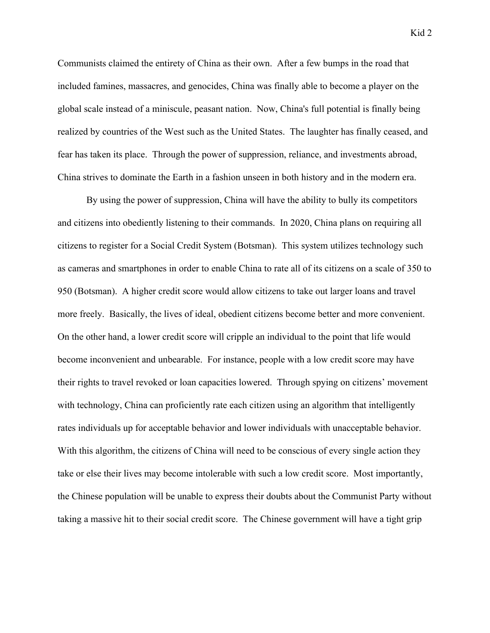Communists claimed the entirety of China as their own. After a few bumps in the road that included famines, massacres, and genocides, China was finally able to become a player on the global scale instead of a miniscule, peasant nation. Now, China's full potential is finally being realized by countries of the West such as the United States. The laughter has finally ceased, and fear has taken its place. Through the power of suppression, reliance, and investments abroad, China strives to dominate the Earth in a fashion unseen in both history and in the modern era.

By using the power of suppression, China will have the ability to bully its competitors and citizens into obediently listening to their commands. In 2020, China plans on requiring all citizens to register for a Social Credit System (Botsman). This system utilizes technology such as cameras and smartphones in order to enable China to rate all of its citizens on a scale of 350 to 950 (Botsman). A higher credit score would allow citizens to take out larger loans and travel more freely. Basically, the lives of ideal, obedient citizens become better and more convenient. On the other hand, a lower credit score will cripple an individual to the point that life would become inconvenient and unbearable. For instance, people with a low credit score may have their rights to travel revoked or loan capacities lowered. Through spying on citizens' movement with technology, China can proficiently rate each citizen using an algorithm that intelligently rates individuals up for acceptable behavior and lower individuals with unacceptable behavior. With this algorithm, the citizens of China will need to be conscious of every single action they take or else their lives may become intolerable with such a low credit score. Most importantly, the Chinese population will be unable to express their doubts about the Communist Party without taking a massive hit to their social credit score. The Chinese government will have a tight grip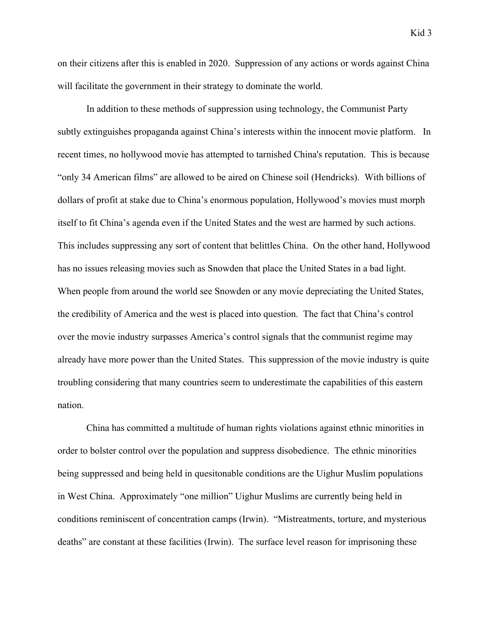Kid 3

on their citizens after this is enabled in 2020. Suppression of any actions or words against China will facilitate the government in their strategy to dominate the world.

In addition to these methods of suppression using technology, the Communist Party subtly extinguishes propaganda against China's interests within the innocent movie platform. In recent times, no hollywood movie has attempted to tarnished China's reputation. This is because "only 34 American films" are allowed to be aired on Chinese soil (Hendricks). With billions of dollars of profit at stake due to China's enormous population, Hollywood's movies must morph itself to fit China's agenda even if the United States and the west are harmed by such actions. This includes suppressing any sort of content that belittles China. On the other hand, Hollywood has no issues releasing movies such as Snowden that place the United States in a bad light. When people from around the world see Snowden or any movie depreciating the United States, the credibility of America and the west is placed into question. The fact that China's control over the movie industry surpasses America's control signals that the communist regime may already have more power than the United States. This suppression of the movie industry is quite troubling considering that many countries seem to underestimate the capabilities of this eastern nation.

China has committed a multitude of human rights violations against ethnic minorities in order to bolster control over the population and suppress disobedience. The ethnic minorities being suppressed and being held in quesitonable conditions are the Uighur Muslim populations in West China. Approximately "one million" Uighur Muslims are currently being held in conditions reminiscent of concentration camps (Irwin). "Mistreatments, torture, and mysterious deaths" are constant at these facilities (Irwin). The surface level reason for imprisoning these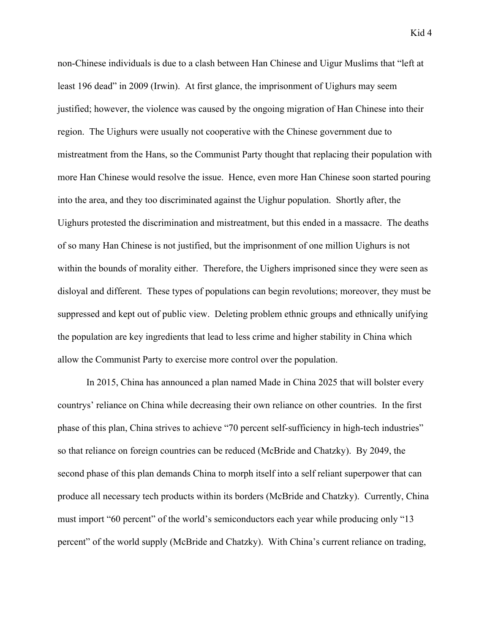non-Chinese individuals is due to a clash between Han Chinese and Uigur Muslims that "left at least 196 dead" in 2009 (Irwin). At first glance, the imprisonment of Uighurs may seem justified; however, the violence was caused by the ongoing migration of Han Chinese into their region. The Uighurs were usually not cooperative with the Chinese government due to mistreatment from the Hans, so the Communist Party thought that replacing their population with more Han Chinese would resolve the issue. Hence, even more Han Chinese soon started pouring into the area, and they too discriminated against the Uighur population. Shortly after, the Uighurs protested the discrimination and mistreatment, but this ended in a massacre. The deaths of so many Han Chinese is not justified, but the imprisonment of one million Uighurs is not within the bounds of morality either. Therefore, the Uighers imprisoned since they were seen as disloyal and different. These types of populations can begin revolutions; moreover, they must be suppressed and kept out of public view. Deleting problem ethnic groups and ethnically unifying the population are key ingredients that lead to less crime and higher stability in China which allow the Communist Party to exercise more control over the population.

In 2015, China has announced a plan named Made in China 2025 that will bolster every countrys' reliance on China while decreasing their own reliance on other countries. In the first phase of this plan, China strives to achieve "70 percent self-sufficiency in high-tech industries" so that reliance on foreign countries can be reduced (McBride and Chatzky). By 2049, the second phase of this plan demands China to morph itself into a self reliant superpower that can produce all necessary tech products within its borders (McBride and Chatzky). Currently, China must import "60 percent" of the world's semiconductors each year while producing only "13 percent" of the world supply (McBride and Chatzky). With China's current reliance on trading,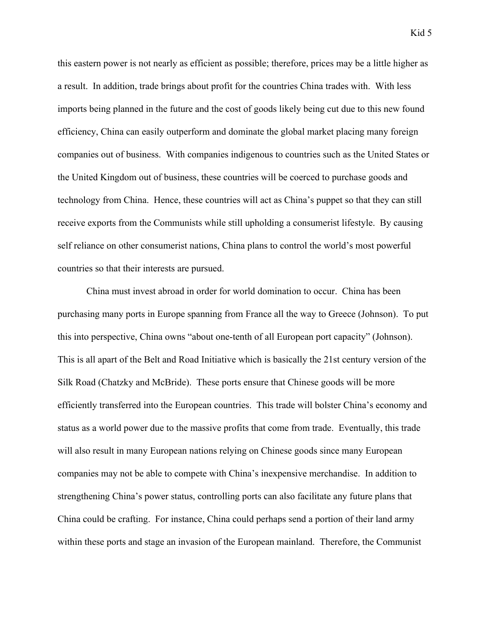this eastern power is not nearly as efficient as possible; therefore, prices may be a little higher as a result. In addition, trade brings about profit for the countries China trades with. With less imports being planned in the future and the cost of goods likely being cut due to this new found efficiency, China can easily outperform and dominate the global market placing many foreign companies out of business. With companies indigenous to countries such as the United States or the United Kingdom out of business, these countries will be coerced to purchase goods and technology from China. Hence, these countries will act as China's puppet so that they can still receive exports from the Communists while still upholding a consumerist lifestyle. By causing self reliance on other consumerist nations, China plans to control the world's most powerful countries so that their interests are pursued.

China must invest abroad in order for world domination to occur. China has been purchasing many ports in Europe spanning from France all the way to Greece (Johnson). To put this into perspective, China owns "about one-tenth of all European port capacity" (Johnson). This is all apart of the Belt and Road Initiative which is basically the 21st century version of the Silk Road (Chatzky and McBride). These ports ensure that Chinese goods will be more efficiently transferred into the European countries. This trade will bolster China's economy and status as a world power due to the massive profits that come from trade. Eventually, this trade will also result in many European nations relying on Chinese goods since many European companies may not be able to compete with China's inexpensive merchandise. In addition to strengthening China's power status, controlling ports can also facilitate any future plans that China could be crafting. For instance, China could perhaps send a portion of their land army within these ports and stage an invasion of the European mainland. Therefore, the Communist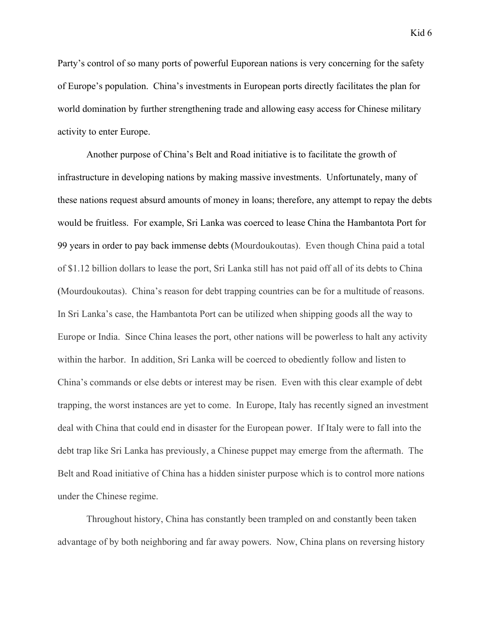Party's control of so many ports of powerful Euporean nations is very concerning for the safety of Europe's population. China's investments in European ports directly facilitates the plan for world domination by further strengthening trade and allowing easy access for Chinese military activity to enter Europe.

Another purpose of China's Belt and Road initiative is to facilitate the growth of infrastructure in developing nations by making massive investments. Unfortunately, many of these nations request absurd amounts of money in loans; therefore, any attempt to repay the debts would be fruitless. For example, Sri Lanka was coerced to lease China the Hambantota Port for 99 years in order to pay back immense debts (Mourdoukoutas). Even though China paid a total of \$1.12 billion dollars to lease the port, Sri Lanka still has not paid off all of its debts to China (Mourdoukoutas). China's reason for debt trapping countries can be for a multitude of reasons. In Sri Lanka's case, the Hambantota Port can be utilized when shipping goods all the way to Europe or India. Since China leases the port, other nations will be powerless to halt any activity within the harbor. In addition, Sri Lanka will be coerced to obediently follow and listen to China's commands or else debts or interest may be risen. Even with this clear example of debt trapping, the worst instances are yet to come. In Europe, Italy has recently signed an investment deal with China that could end in disaster for the European power. If Italy were to fall into the debt trap like Sri Lanka has previously, a Chinese puppet may emerge from the aftermath. The Belt and Road initiative of China has a hidden sinister purpose which is to control more nations under the Chinese regime.

Throughout history, China has constantly been trampled on and constantly been taken advantage of by both neighboring and far away powers. Now, China plans on reversing history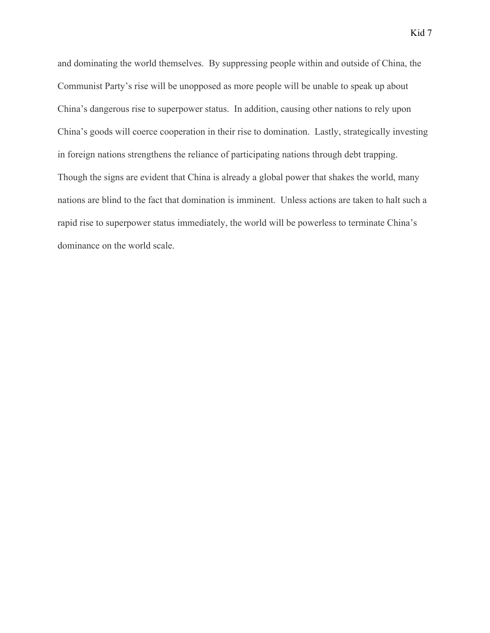and dominating the world themselves. By suppressing people within and outside of China, the Communist Party's rise will be unopposed as more people will be unable to speak up about China's dangerous rise to superpower status. In addition, causing other nations to rely upon China's goods will coerce cooperation in their rise to domination. Lastly, strategically investing in foreign nations strengthens the reliance of participating nations through debt trapping. Though the signs are evident that China is already a global power that shakes the world, many nations are blind to the fact that domination is imminent. Unless actions are taken to halt such a rapid rise to superpower status immediately, the world will be powerless to terminate China's dominance on the world scale.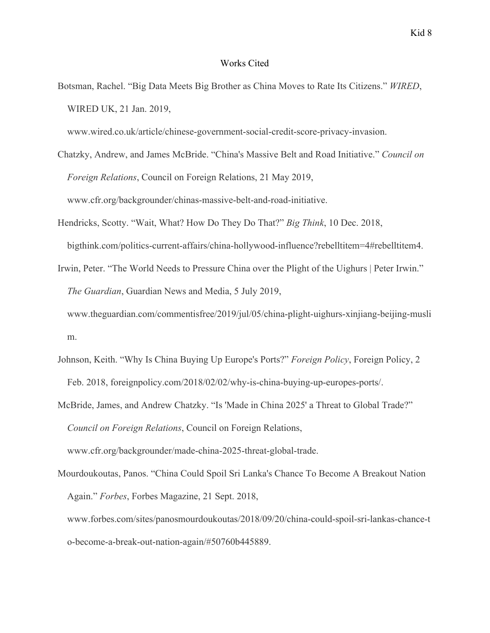## Works Cited

Botsman, Rachel. "Big Data Meets Big Brother as China Moves to Rate Its Citizens." *WIRED*, WIRED UK, 21 Jan. 2019,

www.wired.co.uk/article/chinese-government-social-credit-score-privacy-invasion.

Chatzky, Andrew, and James McBride. "China's Massive Belt and Road Initiative." *Council on Foreign Relations*, Council on Foreign Relations, 21 May 2019, www.cfr.org/backgrounder/chinas-massive-belt-and-road-initiative.

- Hendricks, Scotty. "Wait, What? How Do They Do That?" *Big Think*, 10 Dec. 2018, bigthink.com/politics-current-affairs/china-hollywood-influence?rebelltitem=4#rebelltitem4.
- Irwin, Peter. "The World Needs to Pressure China over the Plight of the Uighurs | Peter Irwin." *The Guardian*, Guardian News and Media, 5 July 2019, www.theguardian.com/commentisfree/2019/jul/05/china-plight-uighurs-xinjiang-beijing-musli m.
- Johnson, Keith. "Why Is China Buying Up Europe's Ports?" *Foreign Policy*, Foreign Policy, 2 Feb. 2018, foreignpolicy.com/2018/02/02/why-is-china-buying-up-europes-ports/.
- McBride, James, and Andrew Chatzky. "Is 'Made in China 2025' a Threat to Global Trade?" *Council on Foreign Relations*, Council on Foreign Relations, www.cfr.org/backgrounder/made-china-2025-threat-global-trade.
- Mourdoukoutas, Panos. "China Could Spoil Sri Lanka's Chance To Become A Breakout Nation Again." *Forbes*, Forbes Magazine, 21 Sept. 2018, www.forbes.com/sites/panosmourdoukoutas/2018/09/20/china-could-spoil-sri-lankas-chance-t

o-become-a-break-out-nation-again/#50760b445889.